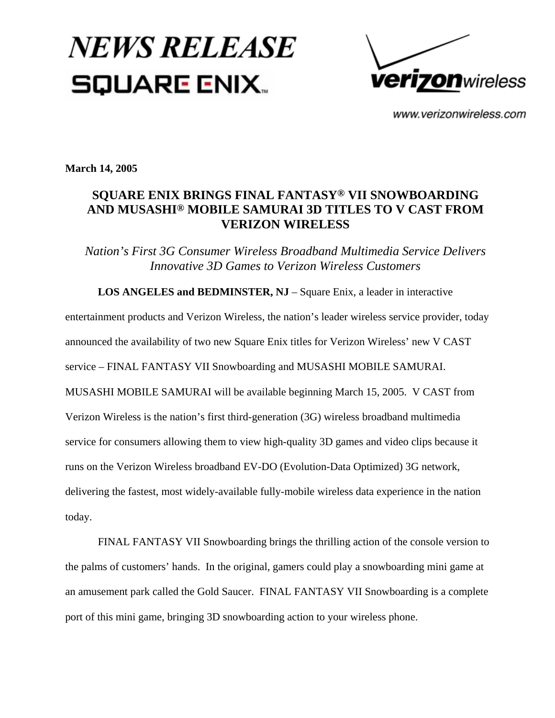## **NEWS RELEASE SQUARE ENIX.**



www.verizonwireless.com

**March 14, 2005**

## **SQUARE ENIX BRINGS FINAL FANTASY® VII SNOWBOARDING AND MUSASHI® MOBILE SAMURAI 3D TITLES TO V CAST FROM VERIZON WIRELESS**

*Nation's First 3G Consumer Wireless Broadband Multimedia Service Delivers Innovative 3D Games to Verizon Wireless Customers*

 **LOS ANGELES and BEDMINSTER, NJ** – Square Enix, a leader in interactive entertainment products and Verizon Wireless, the nation's leader wireless service provider, today announced the availability of two new Square Enix titles for Verizon Wireless' new V CAST service – FINAL FANTASY VII Snowboarding and MUSASHI MOBILE SAMURAI. MUSASHI MOBILE SAMURAI will be available beginning March 15, 2005. V CAST from Verizon Wireless is the nation's first third-generation (3G) wireless broadband multimedia service for consumers allowing them to view high-quality 3D games and video clips because it runs on the Verizon Wireless broadband EV-DO (Evolution-Data Optimized) 3G network, delivering the fastest, most widely-available fully-mobile wireless data experience in the nation today.

FINAL FANTASY VII Snowboarding brings the thrilling action of the console version to the palms of customers' hands. In the original, gamers could play a snowboarding mini game at an amusement park called the Gold Saucer. FINAL FANTASY VII Snowboarding is a complete port of this mini game, bringing 3D snowboarding action to your wireless phone.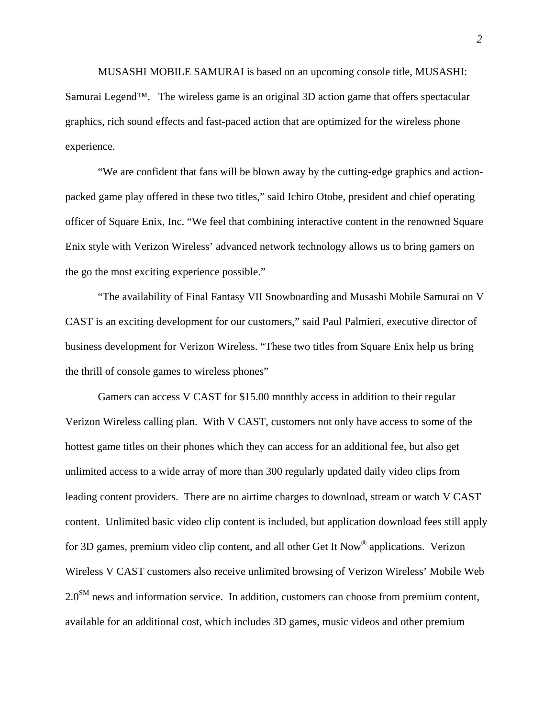MUSASHI MOBILE SAMURAI is based on an upcoming console title, MUSASHI: Samurai Legend™. The wireless game is an original 3D action game that offers spectacular graphics, rich sound effects and fast-paced action that are optimized for the wireless phone experience.

"We are confident that fans will be blown away by the cutting-edge graphics and actionpacked game play offered in these two titles," said Ichiro Otobe, president and chief operating officer of Square Enix, Inc. "We feel that combining interactive content in the renowned Square Enix style with Verizon Wireless' advanced network technology allows us to bring gamers on the go the most exciting experience possible."

"The availability of Final Fantasy VII Snowboarding and Musashi Mobile Samurai on V CAST is an exciting development for our customers," said Paul Palmieri, executive director of business development for Verizon Wireless. "These two titles from Square Enix help us bring the thrill of console games to wireless phones"

Gamers can access V CAST for \$15.00 monthly access in addition to their regular Verizon Wireless calling plan. With V CAST, customers not only have access to some of the hottest game titles on their phones which they can access for an additional fee, but also get unlimited access to a wide array of more than 300 regularly updated daily video clips from leading content providers. There are no airtime charges to download, stream or watch V CAST content. Unlimited basic video clip content is included, but application download fees still apply for 3D games, premium video clip content, and all other Get It Now® applications. Verizon Wireless V CAST customers also receive unlimited browsing of Verizon Wireless' Mobile Web  $2.0<sup>SM</sup>$  news and information service. In addition, customers can choose from premium content, available for an additional cost, which includes 3D games, music videos and other premium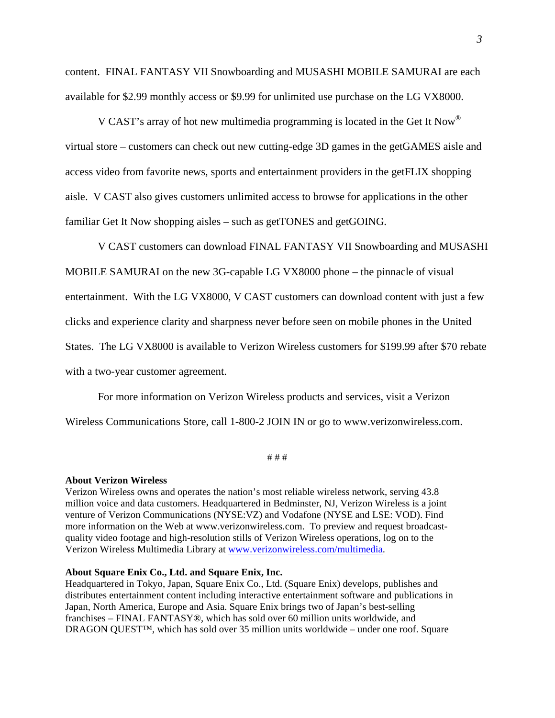content. FINAL FANTASY VII Snowboarding and MUSASHI MOBILE SAMURAI are each available for \$2.99 monthly access or \$9.99 for unlimited use purchase on the LG VX8000.

V CAST's array of hot new multimedia programming is located in the Get It Now® virtual store – customers can check out new cutting-edge 3D games in the getGAMES aisle and access video from favorite news, sports and entertainment providers in the getFLIX shopping aisle. V CAST also gives customers unlimited access to browse for applications in the other familiar Get It Now shopping aisles – such as getTONES and getGOING.

V CAST customers can download FINAL FANTASY VII Snowboarding and MUSASHI MOBILE SAMURAI on the new 3G-capable LG VX8000 phone – the pinnacle of visual entertainment. With the LG VX8000, V CAST customers can download content with just a few clicks and experience clarity and sharpness never before seen on mobile phones in the United States. The LG VX8000 is available to Verizon Wireless customers for \$199.99 after \$70 rebate with a two-year customer agreement.

For more information on Verizon Wireless products and services, visit a Verizon Wireless Communications Store, call 1-800-2 JOIN IN or go to www.verizonwireless.com.

# # #

## **About Verizon Wireless**

Verizon Wireless owns and operates the nation's most reliable wireless network, serving 43.8 million voice and data customers. Headquartered in Bedminster, NJ, Verizon Wireless is a joint venture of Verizon Communications (NYSE:VZ) and Vodafone (NYSE and LSE: VOD). Find more information on the Web at www.verizonwireless.com. To preview and request broadcastquality video footage and high-resolution stills of Verizon Wireless operations, log on to the Verizon Wireless Multimedia Library at [www.verizonwireless.com/multimedia](http://www.verizonwireless.com/multimedia).

## **About Square Enix Co., Ltd. and Square Enix, Inc.**

Headquartered in Tokyo, Japan, Square Enix Co., Ltd. (Square Enix) develops, publishes and distributes entertainment content including interactive entertainment software and publications in Japan, North America, Europe and Asia. Square Enix brings two of Japan's best-selling franchises – FINAL FANTASY®, which has sold over 60 million units worldwide, and DRAGON QUEST™, which has sold over 35 million units worldwide – under one roof. Square